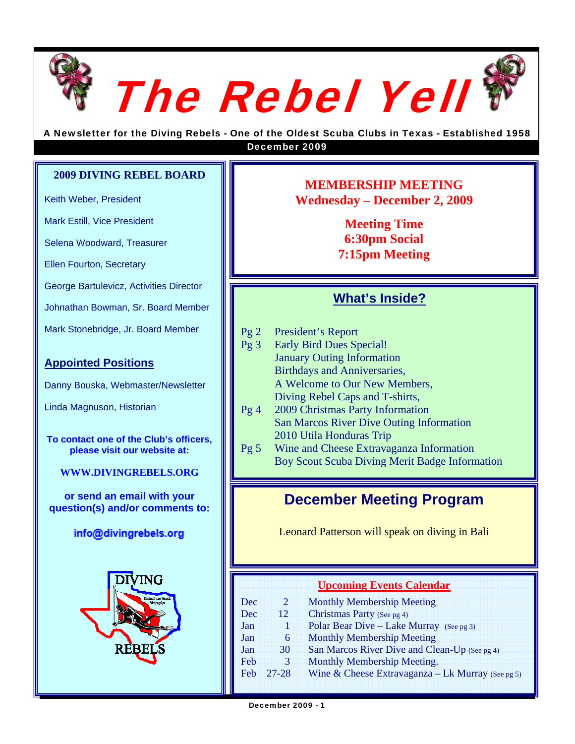



A Newsletter for the Diving Rebels - One of the Oldest Scuba Clubs in Texas - Established 1958 December 2009

#### **2009 DIVING REBEL BOARD**

Keith Weber, President

Mark Estill, Vice President

Selena Woodward, Treasurer

Ellen Fourton, Secretary

George Bartulevicz, Activities Director

Johnathan Bowman, Sr. Board Member

Mark Stonebridge, Jr. Board Member

### **Appointed Positions**

Danny Bouska, Webmaster/Newsletter

Linda Magnuson, Historian

**To contact one of the Club's officers, please visit our website at:** 

**WWW.DIVINGREBELS.ORG**

**or send an email with your question(s) and/or comments to: December Meeting Program** 

info@divingrebels.org



**MEMBERSHIP MEETING Wednesday – December 2, 2009** 

> **Meeting Time 6:30pm Social 7:15pm Meeting**

### **What's Inside?**

- Pg 2 President's Report
- Pg 3 Early Bird Dues Special! January Outing Information Birthdays and Anniversaries, A Welcome to Our New Members, Diving Rebel Caps and T-shirts,
- Pg 4 2009 Christmas Party Information San Marcos River Dive Outing Information 2010 Utila Honduras Trip
- Pg 5 Wine and Cheese Extravaganza Information Boy Scout Scuba Diving Merit Badge Information

Leonard Patterson will speak on diving in Bali

### **Upcoming Events Calendar**

| Dec | 2         | <b>Monthly Membership Meeting</b>                 |
|-----|-----------|---------------------------------------------------|
| Dec | 12        | Christmas Party (See pg 4)                        |
| Jan |           | Polar Bear Dive – Lake Murray (See pg 3)          |
| Jan | 6         | <b>Monthly Membership Meeting</b>                 |
| Jan | 30        | San Marcos River Dive and Clean-Up (See pg 4)     |
| Feb | 3         | Monthly Membership Meeting.                       |
| Feb | $27 - 28$ | Wine & Cheese Extravaganza – Lk Murray (See pg 5) |
|     |           |                                                   |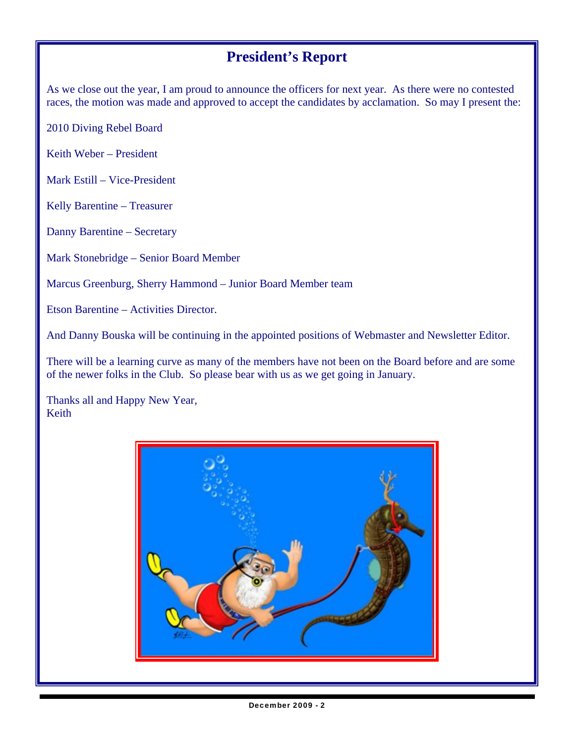# **President's Report**

As we close out the year, I am proud to announce the officers for next year. As there were no contested races, the motion was made and approved to accept the candidates by acclamation. So may I present the:

2010 Diving Rebel Board

Keith Weber – President

Mark Estill – Vice-President

Kelly Barentine – Treasurer

Danny Barentine – Secretary

Mark Stonebridge – Senior Board Member

Marcus Greenburg, Sherry Hammond – Junior Board Member team

Etson Barentine – Activities Director.

And Danny Bouska will be continuing in the appointed positions of Webmaster and Newsletter Editor.

There will be a learning curve as many of the members have not been on the Board before and are some of the newer folks in the Club. So please bear with us as we get going in January.

Thanks all and Happy New Year, Keith

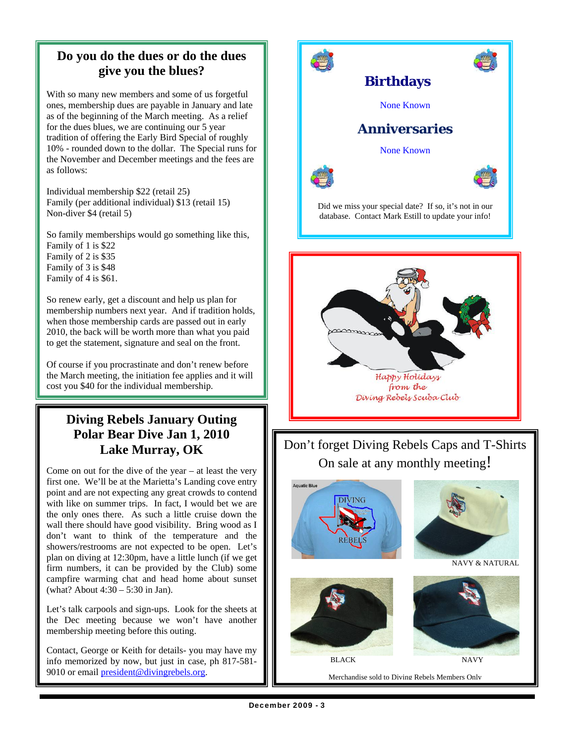# **Do you do the dues or do the dues give you the blues?**

With so many new members and some of us forgetful ones, membership dues are payable in January and late as of the beginning of the March meeting. As a relief for the dues blues, we are continuing our 5 year tradition of offering the Early Bird Special of roughly 10% - rounded down to the dollar. The Special runs for the November and December meetings and the fees are as follows:

Individual membership \$22 (retail 25) Family (per additional individual) \$13 (retail 15) Non-diver \$4 (retail 5)

So family memberships would go something like this, Family of 1 is \$22 Family of 2 is \$35 Family of 3 is \$48 Family of 4 is \$61.

So renew early, get a discount and help us plan for membership numbers next year. And if tradition holds, when those membership cards are passed out in early 2010, the back will be worth more than what you paid to get the statement, signature and seal on the front.

Of course if you procrastinate and don't renew before the March meeting, the initiation fee applies and it will cost you \$40 for the individual membership.

# **Diving Rebels January Outing Polar Bear Dive Jan 1, 2010 Lake Murray, OK**

Come on out for the dive of the year – at least the very first one. We'll be at the Marietta's Landing cove entry point and are not expecting any great crowds to contend with like on summer trips. In fact, I would bet we are the only ones there. As such a little cruise down the wall there should have good visibility. Bring wood as I don't want to think of the temperature and the showers/restrooms are not expected to be open. Let's plan on diving at 12:30pm, have a little lunch (if we get firm numbers, it can be provided by the Club) some campfire warming chat and head home about sunset (what? About 4:30 – 5:30 in Jan).

Let's talk carpools and sign-ups. Look for the sheets at the Dec meeting because we won't have another membership meeting before this outing.

Contact, George or Keith for details- you may have my info memorized by now, but just in case, ph 817-581- 9010 or email president@divingrebels.org.



Merchandise sold to Diving Rebels Members Only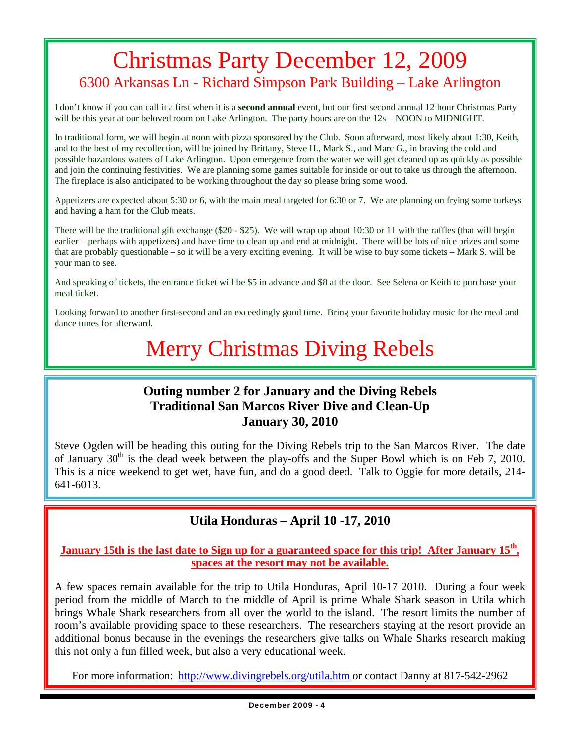# Christmas Party December 12, 2009 6300 Arkansas Ln - Richard Simpson Park Building – Lake Arlington

I don't know if you can call it a first when it is a **second annual** event, but our first second annual 12 hour Christmas Party will be this year at our beloved room on Lake Arlington. The party hours are on the  $12s - NOON$  to MIDNIGHT.

In traditional form, we will begin at noon with pizza sponsored by the Club. Soon afterward, most likely about 1:30, Keith, and to the best of my recollection, will be joined by Brittany, Steve H., Mark S., and Marc G., in braving the cold and possible hazardous waters of Lake Arlington. Upon emergence from the water we will get cleaned up as quickly as possible and join the continuing festivities. We are planning some games suitable for inside or out to take us through the afternoon. The fireplace is also anticipated to be working throughout the day so please bring some wood.

Appetizers are expected about 5:30 or 6, with the main meal targeted for 6:30 or 7. We are planning on frying some turkeys and having a ham for the Club meats.

There will be the traditional gift exchange (\$20 - \$25). We will wrap up about 10:30 or 11 with the raffles (that will begin earlier – perhaps with appetizers) and have time to clean up and end at midnight. There will be lots of nice prizes and some that are probably questionable – so it will be a very exciting evening. It will be wise to buy some tickets – Mark S. will be your man to see.

And speaking of tickets, the entrance ticket will be \$5 in advance and \$8 at the door. See Selena or Keith to purchase your meal ticket.

Looking forward to another first-second and an exceedingly good time. Bring your favorite holiday music for the meal and dance tunes for afterward.

# Merry Christmas Diving Rebels

### **Outing number 2 for January and the Diving Rebels Traditional San Marcos River Dive and Clean-Up January 30, 2010**

Steve Ogden will be heading this outing for the Diving Rebels trip to the San Marcos River. The date of January  $30<sup>th</sup>$  is the dead week between the play-offs and the Super Bowl which is on Feb 7, 2010. This is a nice weekend to get wet, have fun, and do a good deed. Talk to Oggie for more details, 214- 641-6013.

### **Utila Honduras – April 10 -17, 2010**

### **January 15th is the last date to Sign up for a guaranteed space for this trip! After January 15th, spaces at the resort may not be available.**

A few spaces remain available for the trip to Utila Honduras, April 10-17 2010. During a four week period from the middle of March to the middle of April is prime Whale Shark season in Utila which brings Whale Shark researchers from all over the world to the island. The resort limits the number of room's available providing space to these researchers. The researchers staying at the resort provide an additional bonus because in the evenings the researchers give talks on Whale Sharks research making this not only a fun filled week, but also a very educational week.

For more information: http://www.divingrebels.org/utila.htm or contact Danny at 817-542-2962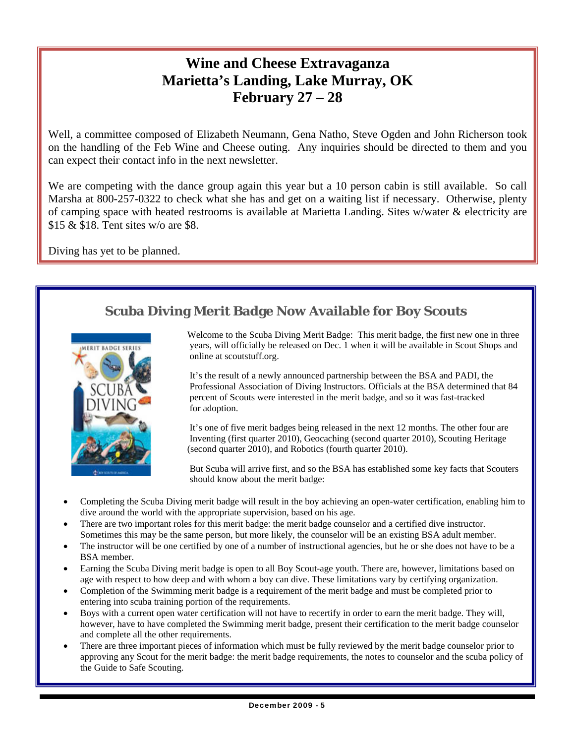# **Wine and Cheese Extravaganza Marietta's Landing, Lake Murray, OK February 27 – 28**

Well, a committee composed of Elizabeth Neumann, Gena Natho, Steve Ogden and John Richerson took on the handling of the Feb Wine and Cheese outing. Any inquiries should be directed to them and you can expect their contact info in the next newsletter.

We are competing with the dance group again this year but a 10 person cabin is still available. So call Marsha at 800-257-0322 to check what she has and get on a waiting list if necessary. Otherwise, plenty of camping space with heated restrooms is available at Marietta Landing. Sites w/water & electricity are \$15 & \$18. Tent sites w/o are \$8.

Diving has yet to be planned.

# **Scuba Diving Merit Badge Now Available for Boy Scouts**



 Welcome to the Scuba Diving Merit Badge: This merit badge, the first new one in three **EXECUTE:** years, will officially be released on Dec. 1 when it will be available in Scout Shops and online at scoutstuff.org.

> It's the result of a newly announced partnership between the BSA and PADI, the Professional Association of Diving Instructors. Officials at the BSA determined that 84 percent of Scouts were interested in the merit badge, and so it was fast-tracked for adoption.

 It's one of five merit badges being released in the next 12 months. The other four are Inventing (first quarter 2010), Geocaching (second quarter 2010), Scouting Heritage (second quarter 2010), and Robotics (fourth quarter 2010).

 But Scuba will arrive first, and so the BSA has established some key facts that Scouters should know about the merit badge:

- Completing the Scuba Diving merit badge will result in the boy achieving an open-water certification, enabling him to dive around the world with the appropriate supervision, based on his age.
- There are two important roles for this merit badge: the merit badge counselor and a certified dive instructor. Sometimes this may be the same person, but more likely, the counselor will be an existing BSA adult member.
- The instructor will be one certified by one of a number of instructional agencies, but he or she does not have to be a BSA member.
- Earning the Scuba Diving merit badge is open to all Boy Scout-age youth. There are, however, limitations based on age with respect to how deep and with whom a boy can dive. These limitations vary by certifying organization.
- Completion of the Swimming merit badge is a requirement of the merit badge and must be completed prior to entering into scuba training portion of the requirements.
- Boys with a current open water certification will not have to recertify in order to earn the merit badge. They will, however, have to have completed the Swimming merit badge, present their certification to the merit badge counselor and complete all the other requirements.
- There are three important pieces of information which must be fully reviewed by the merit badge counselor prior to approving any Scout for the merit badge: the merit badge requirements, the notes to counselor and the scuba policy of the Guide to Safe Scouting.